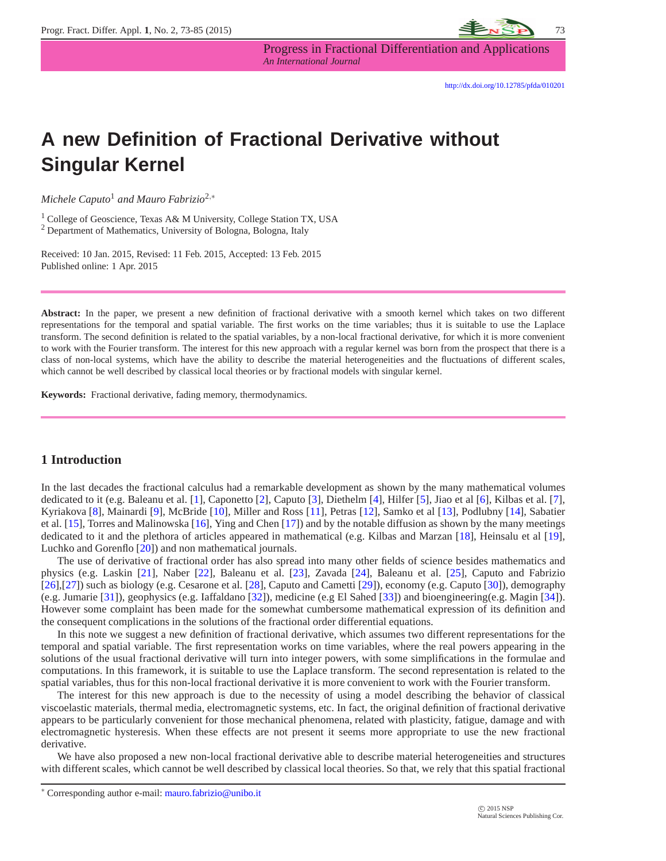

Progress in Fractional Differentiation and Applications *An International Journal*

# **A new Definition of Fractional Derivative without Singular Kernel**

*Michele Caputo*<sup>1</sup> *and Mauro Fabrizio*2,<sup>∗</sup>

<sup>1</sup> College of Geoscience, Texas A& M University, College Station TX, USA <sup>2</sup> Department of Mathematics, University of Bologna, Bologna, Italy

Received: 10 Jan. 2015, Revised: 11 Feb. 2015, Accepted: 13 Feb. 2015 Published online: 1 Apr. 2015

**Abstract:** In the paper, we present a new definition of fractional derivative with a smooth kernel which takes on two different representations for the temporal and spatial variable. The first works on the time variables; thus it is suitable to use the Laplace transform. The second definition is related to the spatial variables, by a non-local fractional derivative, for which it is more convenient to work with the Fourier transform. The interest for this new approach with a regular kernel was born from the prospect that there is a class of non-local systems, which have the ability to describe the material heterogeneities and the fluctuations of different scales, which cannot be well described by classical local theories or by fractional models with singular kernel.

**Keywords:** Fractional derivative, fading memory, thermodynamics.

# **1 Introduction**

In the last decades the fractional calculus had a remarkable development as shown by the many mathematical volumes dedicated to it (e.g. Baleanu et al. [\[1\]](#page-11-0), Caponetto [\[2\]](#page-11-1), Caputo [\[3\]](#page-11-2), Diethelm [\[4\]](#page-11-3), Hilfer [\[5\]](#page-11-4), Jiao et al [\[6\]](#page-11-5), Kilbas et al. [\[7\]](#page-11-6), Kyriakova [\[8\]](#page-11-7), Mainardi [\[9\]](#page-11-8), McBride [\[10\]](#page-11-9), Miller and Ross [\[11\]](#page-11-10), Petras [\[12\]](#page-11-11), Samko et al [\[13\]](#page-11-12), Podlubny [\[14\]](#page-11-13), Sabatier et al. [\[15\]](#page-11-14), Torres and Malinowska [\[16\]](#page-11-15), Ying and Chen [\[17\]](#page-11-16)) and by the notable diffusion as shown by the many meetings dedicated to it and the plethora of articles appeared in mathematical (e.g. Kilbas and Marzan [\[18\]](#page-11-17), Heinsalu et al [\[19\]](#page-11-18), Luchko and Gorenflo [\[20\]](#page-11-19)) and non mathematical journals.

The use of derivative of fractional order has also spread into many other fields of science besides mathematics and physics (e.g. Laskin [\[21\]](#page-11-20), Naber [\[22\]](#page-11-21), Baleanu et al. [\[23\]](#page-11-22), Zavada [\[24\]](#page-12-0), Baleanu et al. [\[25\]](#page-12-1), Caputo and Fabrizio [\[26\]](#page-12-2),[\[27\]](#page-12-3)) such as biology (e.g. Cesarone et al. [\[28\]](#page-12-4), Caputo and Cametti [\[29\]](#page-12-5)), economy (e.g. Caputo [\[30\]](#page-12-6)), demography (e.g. Jumarie [\[31\]](#page-12-7)), geophysics (e.g. Iaffaldano [\[32\]](#page-12-8)), medicine (e.g El Sahed [\[33\]](#page-12-9)) and bioengineering(e.g. Magin [\[34\]](#page-12-10)). However some complaint has been made for the somewhat cumbersome mathematical expression of its definition and the consequent complications in the solutions of the fractional order differential equations.

In this note we suggest a new definition of fractional derivative, which assumes two different representations for the temporal and spatial variable. The first representation works on time variables, where the real powers appearing in the solutions of the usual fractional derivative will turn into integer powers, with some simplifications in the formulae and computations. In this framework, it is suitable to use the Laplace transform. The second representation is related to the spatial variables, thus for this non-local fractional derivative it is more convenient to work with the Fourier transform.

The interest for this new approach is due to the necessity of using a model describing the behavior of classical viscoelastic materials, thermal media, electromagnetic systems, etc. In fact, the original definition of fractional derivative appears to be particularly convenient for those mechanical phenomena, related with plasticity, fatigue, damage and with electromagnetic hysteresis. When these effects are not present it seems more appropriate to use the new fractional derivative.

We have also proposed a new non-local fractional derivative able to describe material heterogeneities and structures with different scales, which cannot be well described by classical local theories. So that, we rely that this spatial fractional

<sup>∗</sup> Corresponding author e-mail: mauro.fabrizio@unibo.it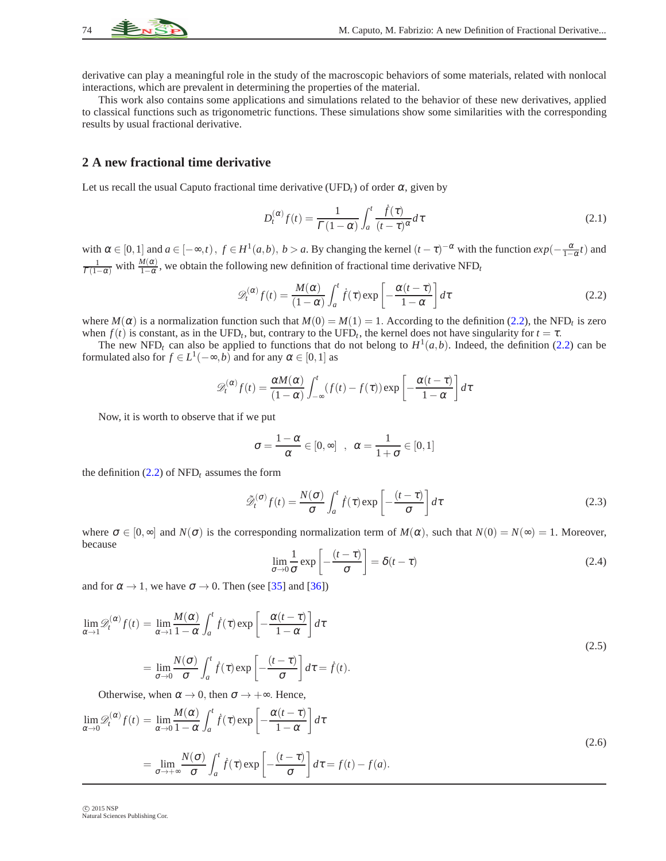

derivative can play a meaningful role in the study of the macroscopic behaviors of some materials, related with nonlocal interactions, which are prevalent in determining the properties of the material.

This work also contains some applications and simulations related to the behavior of these new derivatives, applied to classical functions such as trigonometric functions. These simulations show some similarities with the corresponding results by usual fractional derivative.

#### **2 A new fractional time derivative**

Let us recall the usual Caputo fractional time derivative (UFD<sub>t</sub>) of order  $\alpha$ , given by

<span id="page-1-1"></span>
$$
D_t^{(\alpha)} f(t) = \frac{1}{\Gamma(1-\alpha)} \int_a^t \frac{\dot{f}(\tau)}{(t-\tau)^\alpha} d\tau
$$
\n(2.1)

<span id="page-1-0"></span>with  $\alpha \in [0,1]$  and  $a \in [-\infty,t)$ ,  $f \in H^1(a,b)$ ,  $b > a$ . By changing the kernel  $(t-\tau)^{-\alpha}$  with the function  $exp(-\frac{\alpha}{1-\alpha}t)$  and  $\frac{1}{\Gamma(1-\alpha)}$  with  $\frac{M(\alpha)}{1-\alpha}$ , we obtain the following new definition of fractional time derivative NFD<sub>t</sub>

$$
\mathscr{D}_t^{(\alpha)} f(t) = \frac{M(\alpha)}{(1-\alpha)} \int_a^t \dot{f}(\tau) \exp\left[-\frac{\alpha(t-\tau)}{1-\alpha}\right] d\tau \tag{2.2}
$$

where  $M(\alpha)$  is a normalization function such that  $M(0) = M(1) = 1$ . According to the definition [\(2.2\)](#page-1-0), the NFD<sub>t</sub> is zero when  $f(t)$  is constant, as in the UFD<sub>t</sub>, but, contrary to the UFD<sub>t</sub>, the kernel does not have singularity for  $t = \tau$ .

The new NFD<sub>t</sub> can also be applied to functions that do not belong to  $H^1(a,b)$ . Indeed, the definition [\(2.2\)](#page-1-0) can be formulated also for  $f \in L^1(-\infty, b)$  and for any  $\alpha \in [0, 1]$  as

$$
\mathscr{D}_t^{(\alpha)}f(t) = \frac{\alpha M(\alpha)}{(1-\alpha)} \int_{-\infty}^t (f(t) - f(\tau)) \exp\left[-\frac{\alpha(t-\tau)}{1-\alpha}\right] d\tau
$$

Now, it is worth to observe that if we put

$$
\sigma = \frac{1-\alpha}{\alpha} \in [0,\infty] \quad , \quad \alpha = \frac{1}{1+\sigma} \in [0,1]
$$

the definition  $(2.2)$  of NFD<sub>t</sub> assumes the form

<span id="page-1-2"></span>
$$
\tilde{\mathcal{D}}_t^{(\sigma)} f(t) = \frac{N(\sigma)}{\sigma} \int_a^t f(\tau) \exp\left[-\frac{(t-\tau)}{\sigma}\right] d\tau
$$
\n(2.3)

where  $\sigma \in [0, \infty]$  and  $N(\sigma)$  is the corresponding normalization term of  $M(\alpha)$ , such that  $N(0) = N(\infty) = 1$ . Moreover, because

$$
\lim_{\sigma \to 0} \frac{1}{\sigma} \exp\left[-\frac{(t-\tau)}{\sigma}\right] = \delta(t-\tau)
$$
\n(2.4)

and for  $\alpha \rightarrow 1$ , we have  $\sigma \rightarrow 0$ . Then (see [\[35\]](#page-12-11) and [\[36\]](#page-12-12))

$$
\lim_{\alpha \to 1} \mathcal{D}_{t}^{(\alpha)} f(t) = \lim_{\alpha \to 1} \frac{M(\alpha)}{1 - \alpha} \int_{a}^{t} \dot{f}(\tau) \exp\left[-\frac{\alpha(t - \tau)}{1 - \alpha}\right] d\tau
$$
\n
$$
= \lim_{\sigma \to 0} \frac{N(\sigma)}{\sigma} \int_{a}^{t} \dot{f}(\tau) \exp\left[-\frac{(t - \tau)}{\sigma}\right] d\tau = \dot{f}(t).
$$
\n(2.5)

Otherwise, when  $\alpha \rightarrow 0$ , then  $\sigma \rightarrow +\infty$ . Hence,

$$
\lim_{\alpha \to 0} \mathscr{D}_{t}^{(\alpha)} f(t) = \lim_{\alpha \to 0} \frac{M(\alpha)}{1 - \alpha} \int_{a}^{t} \dot{f}(\tau) \exp\left[-\frac{\alpha(t - \tau)}{1 - \alpha}\right] d\tau
$$
\n
$$
= \lim_{\sigma \to +\infty} \frac{N(\sigma)}{\sigma} \int_{a}^{t} \dot{f}(\tau) \exp\left[-\frac{(t - \tau)}{\sigma}\right] d\tau = f(t) - f(a).
$$
\n(2.6)

 $\circ$  2015 NSP Natural Sciences Publishing Cor.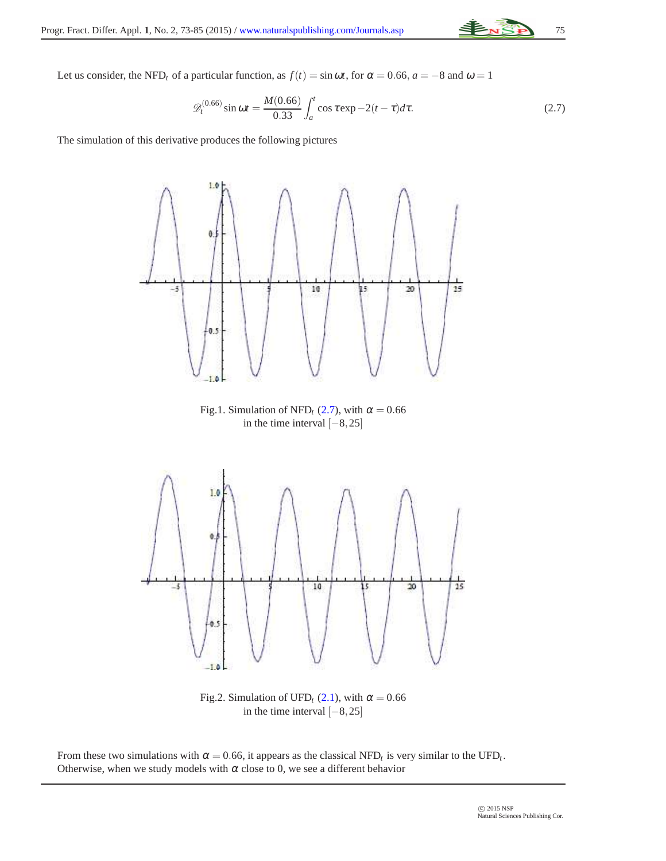<span id="page-2-0"></span>

Let us consider, the NFD<sub>t</sub> of a particular function, as  $f(t) = \sin \omega t$ , for  $\alpha = 0.66$ ,  $a = -8$  and  $\omega = 1$ 

$$
\mathcal{D}_t^{(0.66)} \sin \omega t = \frac{M(0.66)}{0.33} \int_a^t \cos \tau \exp(-2(t-\tau)) d\tau.
$$
 (2.7)

The simulation of this derivative produces the following pictures



Fig.2. Simulation of UFD<sub>t</sub> [\(2.1\)](#page-1-1), with  $\alpha = 0.66$ in the time interval  $[-8, 25]$ 

From these two simulations with  $\alpha = 0.66$ , it appears as the classical NFD<sub>t</sub> is very similar to the UFD<sub>t</sub>. Otherwise, when we study models with  $\alpha$  close to 0, we see a different behavior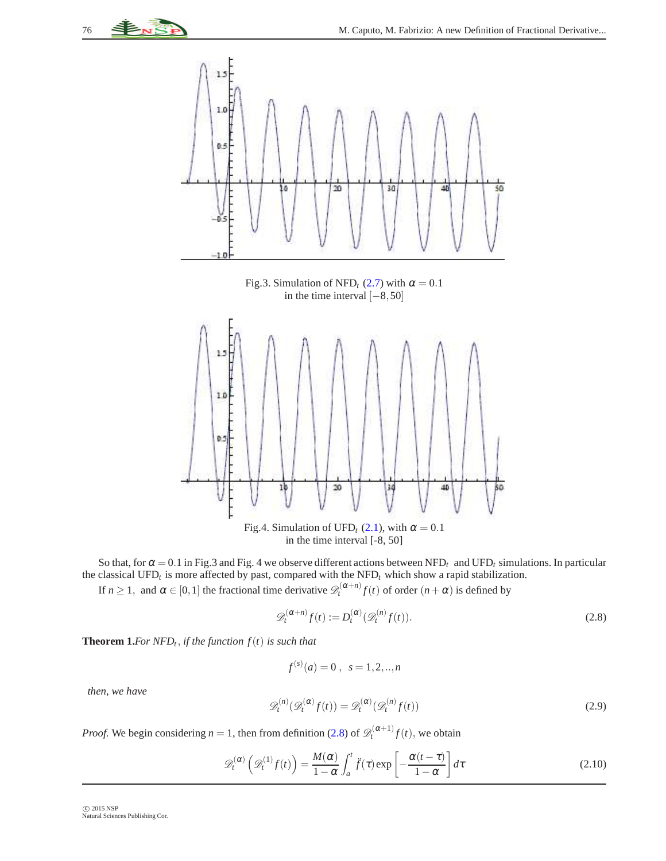

in the time interval [-8, 50]

So that, for  $\alpha = 0.1$  in Fig.3 and Fig. 4 we observe different actions between NFD<sub>t</sub> and UFD<sub>t</sub> simulations. In particular the classical UFD*<sup>t</sup>* is more affected by past, compared with the NFD*<sup>t</sup>* which show a rapid stabilization.

If  $n \ge 1$ , and  $\alpha \in [0,1]$  the fractional time derivative  $\mathscr{D}_t^{(\alpha+n)} f(t)$  of order  $(n+\alpha)$  is defined by

<span id="page-3-0"></span>
$$
\mathcal{D}_t^{(\alpha+n)} f(t) := D_t^{(\alpha)} (\mathcal{D}_t^{(n)} f(t)).
$$
\n(2.8)

**Theorem 1.***For NFD* $<sub>t</sub>$ , *if the function*  $f(t)$  *is such that*</sub>

$$
f^{(s)}(a) = 0 \; , \; s = 1, 2, ..., n
$$

*then, we have*

$$
\mathcal{D}_t^{(n)}(\mathcal{D}_t^{(\alpha)}f(t)) = \mathcal{D}_t^{(\alpha)}(\mathcal{D}_t^{(n)}f(t))
$$
\n(2.9)

*Proof.* We begin considering  $n = 1$ , then from definition [\(2.8\)](#page-3-0) of  $\mathscr{D}_t^{(\alpha+1)} f(t)$ , we obtain

$$
\mathscr{D}_t^{(\alpha)}\left(\mathscr{D}_t^{(1)}f(t)\right) = \frac{M(\alpha)}{1-\alpha} \int_a^t \ddot{f}(\tau) \exp\left[-\frac{\alpha(t-\tau)}{1-\alpha}\right] d\tau \tag{2.10}
$$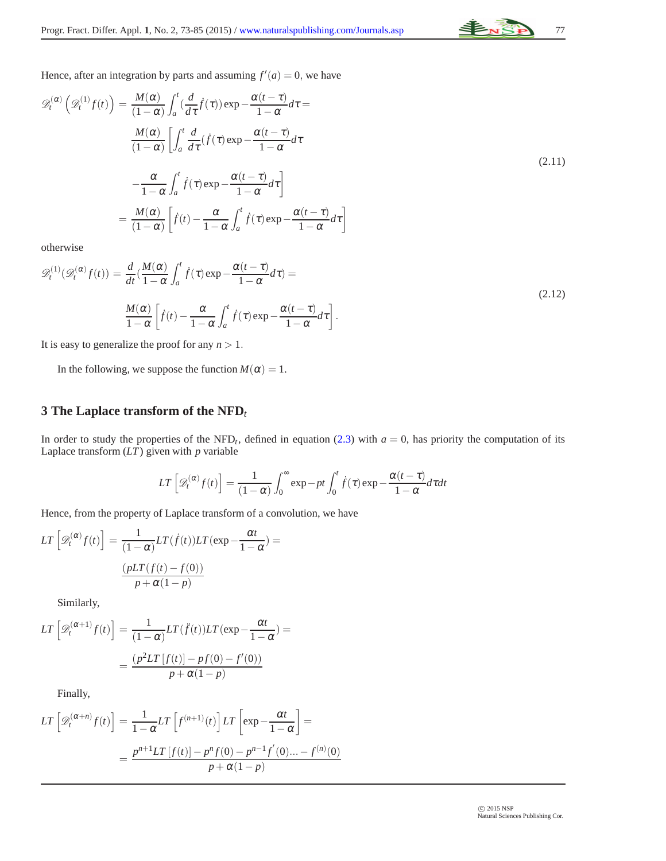

Hence, after an integration by parts and assuming  $f'(a) = 0$ , we have

$$
\mathcal{D}_{t}^{(\alpha)}\left(\mathcal{D}_{t}^{(1)}f(t)\right) = \frac{M(\alpha)}{(1-\alpha)} \int_{a}^{t} \left(\frac{d}{d\tau}\dot{f}(\tau)\right) \exp\left(-\frac{\alpha(t-\tau)}{1-\alpha}d\tau\right) d\tau
$$
\n
$$
\frac{M(\alpha)}{(1-\alpha)} \left[\int_{a}^{t} \frac{d}{d\tau} (\dot{f}(\tau)\exp\left(-\frac{\alpha(t-\tau)}{1-\alpha}d\tau\right) d\tau\right]
$$
\n
$$
-\frac{\alpha}{1-\alpha} \int_{a}^{t} \dot{f}(\tau)\exp\left(-\frac{\alpha(t-\tau)}{1-\alpha}d\tau\right]
$$
\n
$$
= \frac{M(\alpha)}{(1-\alpha)} \left[\dot{f}(t) - \frac{\alpha}{1-\alpha} \int_{a}^{t} \dot{f}(\tau)\exp\left(-\frac{\alpha(t-\tau)}{1-\alpha}d\tau\right)\right]
$$
\n(2.11)

otherwise

$$
\mathscr{D}_{t}^{(1)}(\mathscr{D}_{t}^{(\alpha)}f(t)) = \frac{d}{dt}(\frac{M(\alpha)}{1-\alpha}\int_{a}^{t}\dot{f}(\tau)\exp{-\frac{\alpha(t-\tau)}{1-\alpha}}d\tau) =
$$
\n
$$
\frac{M(\alpha)}{1-\alpha}\left[\dot{f}(t) - \frac{\alpha}{1-\alpha}\int_{a}^{t}\dot{f}(\tau)\exp{-\frac{\alpha(t-\tau)}{1-\alpha}}d\tau\right].
$$
\n(2.12)

It is easy to generalize the proof for any *n* > 1.

In the following, we suppose the function  $M(\alpha) = 1$ .

# **3 The Laplace transform of the NFD***<sup>t</sup>*

In order to study the properties of the NFD<sub>t</sub>, defined in equation [\(2.3\)](#page-1-2) with  $a = 0$ , has priority the computation of its Laplace transform (*LT*) given with *p* variable

$$
LT\left[\mathscr{D}_t^{(\alpha)}f(t)\right] = \frac{1}{(1-\alpha)} \int_0^\infty \exp -pt \int_0^t \dot{f}(\tau) \exp -\frac{\alpha(t-\tau)}{1-\alpha} d\tau dt
$$

Hence, from the property of Laplace transform of a convolution, we have

$$
LT\left[\mathcal{D}_{t}^{(\alpha)}f(t)\right] = \frac{1}{(1-\alpha)}LT(\dot{f}(t))LT(\exp{-\frac{\alpha t}{1-\alpha}}) = \frac{(pLT(f(t) - f(0))}{p + \alpha(1-p)}
$$

Similarly,

$$
LT\left[\mathcal{D}_{t}^{(\alpha+1)}f(t)\right] = \frac{1}{(1-\alpha)}LT(\ddot{f}(t))LT(\exp{-\frac{\alpha t}{1-\alpha}}) =
$$

$$
= \frac{(p^{2}LT[f(t)] - pf(0) - f'(0))}{p + \alpha(1-p)}
$$

Finally,

$$
LT\left[\mathscr{D}_{t}^{(\alpha+n)}f(t)\right] = \frac{1}{1-\alpha}LT\left[f^{(n+1)}(t)\right]LT\left[\exp-\frac{\alpha t}{1-\alpha}\right] =
$$

$$
=\frac{p^{n+1}LT\left[f(t)\right]-p^{n}f(0)-p^{n-1}f'(0)...-f^{(n)}(0)}{p+\alpha(1-p)}
$$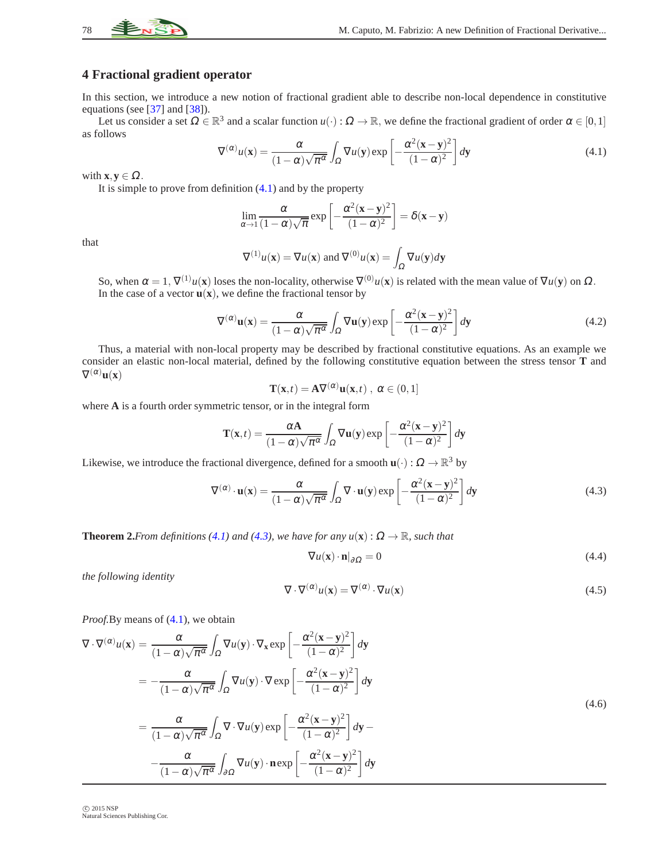

# **4 Fractional gradient operator**

In this section, we introduce a new notion of fractional gradient able to describe non-local dependence in constitutive equations (see [\[37\]](#page-12-13) and [\[38\]](#page-12-14)).

<span id="page-5-0"></span>Let us consider a set  $\Omega \in \mathbb{R}^3$  and a scalar function  $u(\cdot): \Omega \to \mathbb{R}$ , we define the fractional gradient of order  $\alpha \in [0,1]$ as follows

$$
\nabla^{(\alpha)} u(\mathbf{x}) = \frac{\alpha}{(1-\alpha)\sqrt{\pi^{\alpha}}} \int_{\Omega} \nabla u(\mathbf{y}) \exp\left[-\frac{\alpha^{2}(\mathbf{x} - \mathbf{y})^{2}}{(1-\alpha)^{2}}\right] d\mathbf{y}
$$
(4.1)

with  $\mathbf{x}, \mathbf{y} \in \Omega$ .

It is simple to prove from definition  $(4.1)$  and by the property

$$
\lim_{\alpha \to 1} \frac{\alpha}{(1-\alpha)\sqrt{\pi}} \exp\left[-\frac{\alpha^2(\mathbf{x} - \mathbf{y})^2}{(1-\alpha)^2}\right] = \delta(\mathbf{x} - \mathbf{y})
$$

that

$$
\nabla^{(1)} u(\mathbf{x}) = \nabla u(\mathbf{x}) \text{ and } \nabla^{(0)} u(\mathbf{x}) = \int_{\Omega} \nabla u(\mathbf{y}) d\mathbf{y}
$$

So, when  $\alpha = 1$ ,  $\nabla^{(1)}u(\mathbf{x})$  loses the non-locality, otherwise  $\nabla^{(0)}u(\mathbf{x})$  is related with the mean value of  $\nabla u(\mathbf{y})$  on  $\Omega$ . In the case of a vector  $\mathbf{u}(\mathbf{x})$ , we define the fractional tensor by

$$
\nabla^{(\alpha)}\mathbf{u}(\mathbf{x}) = \frac{\alpha}{(1-\alpha)\sqrt{\pi^{\alpha}}} \int_{\Omega} \nabla \mathbf{u}(\mathbf{y}) \exp\left[-\frac{\alpha^{2}(\mathbf{x}-\mathbf{y})^{2}}{(1-\alpha)^{2}}\right] d\mathbf{y}
$$
(4.2)

Thus, a material with non-local property may be described by fractional constitutive equations. As an example we consider an elastic non-local material, defined by the following constitutive equation between the stress tensor **T** and  $\nabla^{(\alpha)}\mathbf{u}(\mathbf{x})$ 

$$
\mathbf{T}(\mathbf{x},t) = \mathbf{A}\nabla^{(\alpha)}\mathbf{u}(\mathbf{x},t) , \ \alpha \in (0,1]
$$

where **A** is a fourth order symmetric tensor, or in the integral form

$$
\mathbf{T}(\mathbf{x},t) = \frac{\alpha \mathbf{A}}{(1-\alpha)\sqrt{\pi^{\alpha}}} \int_{\Omega} \nabla \mathbf{u}(\mathbf{y}) \exp \left[ -\frac{\alpha^{2}(\mathbf{x}-\mathbf{y})^{2}}{(1-\alpha)^{2}} \right] d\mathbf{y}
$$

Likewise, we introduce the fractional divergence, defined for a smooth  $\mathbf{u}(\cdot)$  :  $\Omega \to \mathbb{R}^3$  by

$$
\nabla^{(\alpha)} \cdot \mathbf{u}(\mathbf{x}) = \frac{\alpha}{(1-\alpha)\sqrt{\pi^{\alpha}}} \int_{\Omega} \nabla \cdot \mathbf{u}(\mathbf{y}) \exp\left[-\frac{\alpha^{2}(\mathbf{x}-\mathbf{y})^{2}}{(1-\alpha)^{2}}\right] d\mathbf{y}
$$
(4.3)

**Theorem 2.***From definitions* [\(4.1\)](#page-5-0) *and* [\(4.3\)](#page-5-1), *we have for any*  $u(\mathbf{x}) : \Omega \to \mathbb{R}$ *, such that* 

<span id="page-5-2"></span><span id="page-5-1"></span>
$$
\nabla u(\mathbf{x}) \cdot \mathbf{n}|_{\partial \Omega} = 0 \tag{4.4}
$$

<span id="page-5-3"></span>*the following identity*

$$
\nabla \cdot \nabla^{(\alpha)} u(\mathbf{x}) = \nabla^{(\alpha)} \cdot \nabla u(\mathbf{x}) \tag{4.5}
$$

*Proof.*By means of  $(4.1)$ , we obtain

<span id="page-5-4"></span>
$$
\nabla \cdot \nabla^{(\alpha)} u(\mathbf{x}) = \frac{\alpha}{(1 - \alpha) \sqrt{\pi^{\alpha}}} \int_{\Omega} \nabla u(\mathbf{y}) \cdot \nabla_{\mathbf{x}} \exp\left[ -\frac{\alpha^{2} (\mathbf{x} - \mathbf{y})^{2}}{(1 - \alpha)^{2}} \right] d\mathbf{y}
$$
  
\n
$$
= -\frac{\alpha}{(1 - \alpha) \sqrt{\pi^{\alpha}}} \int_{\Omega} \nabla u(\mathbf{y}) \cdot \nabla \exp\left[ -\frac{\alpha^{2} (\mathbf{x} - \mathbf{y})^{2}}{(1 - \alpha)^{2}} \right] d\mathbf{y}
$$
  
\n
$$
= \frac{\alpha}{(1 - \alpha) \sqrt{\pi^{\alpha}}} \int_{\Omega} \nabla \cdot \nabla u(\mathbf{y}) \exp\left[ -\frac{\alpha^{2} (\mathbf{x} - \mathbf{y})^{2}}{(1 - \alpha)^{2}} \right] d\mathbf{y} -
$$
  
\n
$$
- \frac{\alpha}{(1 - \alpha) \sqrt{\pi^{\alpha}}} \int_{\partial \Omega} \nabla u(\mathbf{y}) \cdot \mathbf{n} \exp\left[ -\frac{\alpha^{2} (\mathbf{x} - \mathbf{y})^{2}}{(1 - \alpha)^{2}} \right] d\mathbf{y}
$$
  
\n(4.6)

© 2015 NSP Natural Sciences Publishing Cor.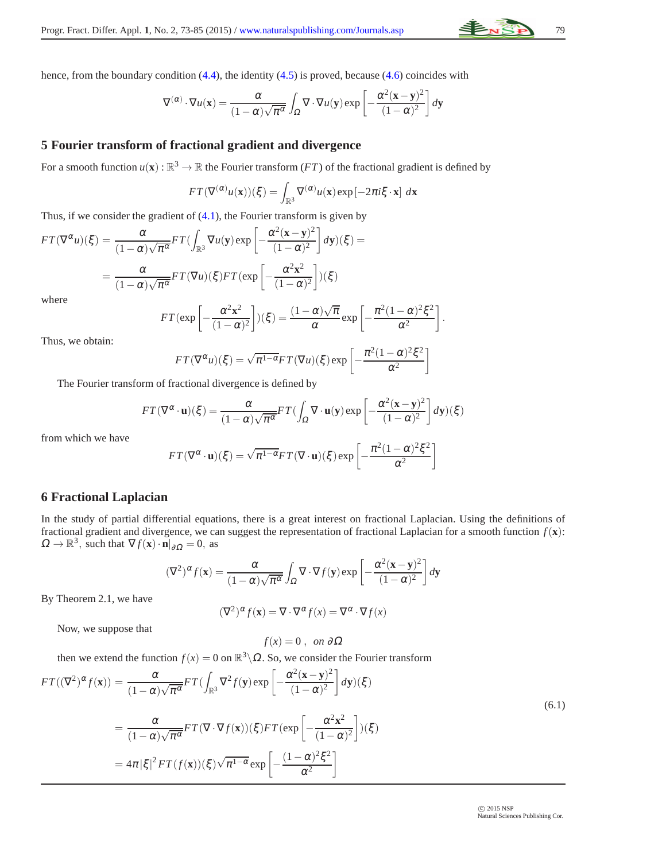hence, from the boundary condition [\(4.4\)](#page-5-2), the identity [\(4.5\)](#page-5-3) is proved, because [\(4.6\)](#page-5-4) coincides with

$$
\nabla^{(\alpha)} \cdot \nabla u(\mathbf{x}) = \frac{\alpha}{(1-\alpha)\sqrt{\pi^{\alpha}}} \int_{\Omega} \nabla \cdot \nabla u(\mathbf{y}) \exp \left[ -\frac{\alpha^{2}(\mathbf{x} - \mathbf{y})^{2}}{(1-\alpha)^{2}} \right] d\mathbf{y}
$$

## **5 Fourier transform of fractional gradient and divergence**

For a smooth function  $u(\mathbf{x}) : \mathbb{R}^3 \to \mathbb{R}$  the Fourier transform  $(FT)$  of the fractional gradient is defined by

$$
FT(\nabla^{(\alpha)} u(\mathbf{x}))(\xi) = \int_{\mathbb{R}^3} \nabla^{(\alpha)} u(\mathbf{x}) \exp[-2\pi i \xi \cdot \mathbf{x}] d\mathbf{x}
$$

Thus, if we consider the gradient of  $(4.1)$ , the Fourier transform is given by

$$
FT(\nabla^{\alpha}u)(\xi) = \frac{\alpha}{(1-\alpha)\sqrt{\pi^{\alpha}}}FT(\int_{\mathbb{R}^{3}}\nabla u(\mathbf{y})\exp\left[-\frac{\alpha^{2}(\mathbf{x}-\mathbf{y})^{2}}{(1-\alpha)^{2}}\right]d\mathbf{y})(\xi) =
$$

$$
= \frac{\alpha}{(1-\alpha)\sqrt{\pi^{\alpha}}}FT(\nabla u)(\xi)FT(\exp\left[-\frac{\alpha^{2}\mathbf{x}^{2}}{(1-\alpha)^{2}}\right])(\xi)
$$
where
$$
FT(\text{sym}\left[\frac{\alpha^{2}\mathbf{x}^{2}}{(\mathbf{x}-\mathbf{x})^{2}}\right])(\xi) = \frac{(1-\alpha)\sqrt{\pi}}{(\mathbf{x}-\mathbf{x})^{2}}\mathbf{y}.
$$

$$
FT(\exp\left[-\frac{\alpha^2\mathbf{x}^2}{(1-\alpha)^2}\right])(\xi) = \frac{(1-\alpha)\sqrt{\pi}}{\alpha}\exp\left[-\frac{\pi^2(1-\alpha)^2\xi^2}{\alpha^2}\right].
$$

Thus, we obtain:

$$
FT(\nabla^{\alpha} u)(\xi) = \sqrt{\pi^{1-\alpha}} FT(\nabla u)(\xi) \exp \left[ -\frac{\pi^2 (1-\alpha)^2 \xi^2}{\alpha^2} \right]
$$

The Fourier transform of fractional divergence is defined by

$$
FT(\nabla^{\alpha} \cdot \mathbf{u})(\xi) = \frac{\alpha}{(1-\alpha)\sqrt{\pi^{\alpha}}} FT\left(\int_{\Omega} \nabla \cdot \mathbf{u}(\mathbf{y}) \exp\left[-\frac{\alpha^{2}(\mathbf{x}-\mathbf{y})^{2}}{(1-\alpha)^{2}}\right] d\mathbf{y}\right)(\xi)
$$

from which we have

$$
FT(\nabla^{\alpha} \cdot \mathbf{u})(\xi) = \sqrt{\pi^{1-\alpha}} FT(\nabla \cdot \mathbf{u})(\xi) \exp \left[ -\frac{\pi^2 (1-\alpha)^2 \xi^2}{\alpha^2} \right]
$$

## **6 Fractional Laplacian**

In the study of partial differential equations, there is a great interest on fractional Laplacian. Using the definitions of fractional gradient and divergence, we can suggest the representation of fractional Laplacian for a smooth function *f*(**x**):  $\Omega \to \mathbb{R}^3$ , such that  $\nabla f(\mathbf{x}) \cdot \mathbf{n}|_{\partial \Omega} = 0$ , as

$$
(\nabla^2)^{\alpha} f(\mathbf{x}) = \frac{\alpha}{(1-\alpha)\sqrt{\pi^{\alpha}}} \int_{\Omega} \nabla \cdot \nabla f(\mathbf{y}) \exp\left[-\frac{\alpha^2 (\mathbf{x} - \mathbf{y})^2}{(1-\alpha)^2}\right] d\mathbf{y}
$$

By Theorem 2.1, we have

$$
(\nabla^2)^{\alpha} f(\mathbf{x}) = \nabla \cdot \nabla^{\alpha} f(x) = \nabla^{\alpha} \cdot \nabla f(x)
$$

Now, we suppose that

$$
f(x)=0\ ,\ \ on\ \partial\Omega
$$

then we extend the function  $f(x) = 0$  on  $\mathbb{R}^3 \setminus \Omega$ . So, we consider the Fourier transform

<span id="page-6-0"></span>
$$
FT((\nabla^2)^{\alpha} f(\mathbf{x})) = \frac{\alpha}{(1-\alpha)\sqrt{\pi^{\alpha}}} FT\left(\int_{\mathbb{R}^3} \nabla^2 f(\mathbf{y}) \exp\left[-\frac{\alpha^2 (\mathbf{x} - \mathbf{y})^2}{(1-\alpha)^2}\right] d\mathbf{y}\right) (\xi)
$$
  
\n
$$
= \frac{\alpha}{(1-\alpha)\sqrt{\pi^{\alpha}}} FT(\nabla \cdot \nabla f(\mathbf{x})) (\xi) FT(\exp\left[-\frac{\alpha^2 \mathbf{x}^2}{(1-\alpha)^2}\right]) (\xi)
$$
  
\n
$$
= 4\pi |\xi|^2 FT(f(\mathbf{x})) (\xi) \sqrt{\pi^{1-\alpha}} \exp\left[-\frac{(1-\alpha)^2 \xi^2}{\alpha^2}\right]
$$
\n(6.1)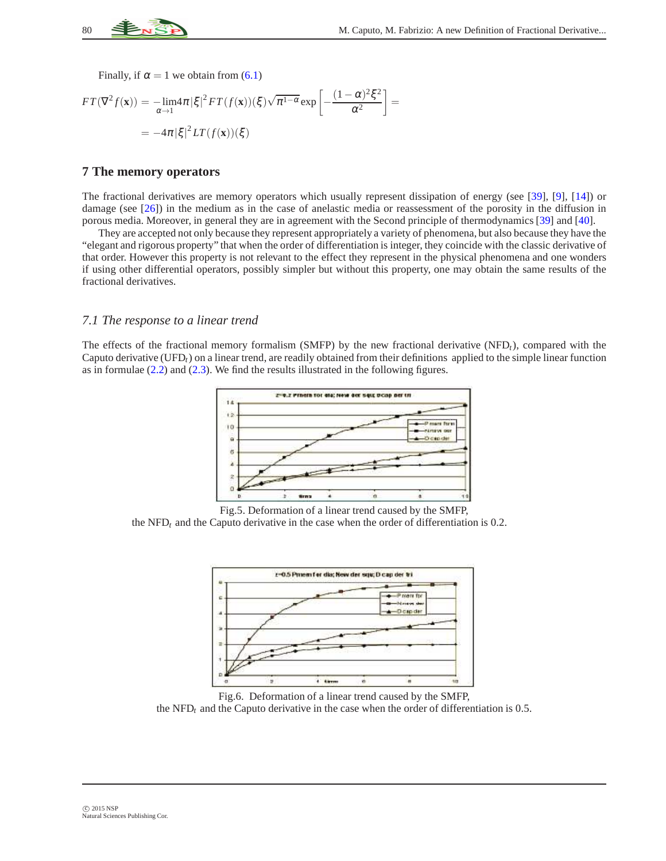

Finally, if  $\alpha = 1$  we obtain from [\(6.1\)](#page-6-0)

$$
FT(\nabla^2 f(\mathbf{x})) = -\lim_{\alpha \to 1} 4\pi |\xi|^2 FT(f(\mathbf{x}))(\xi) \sqrt{\pi^{1-\alpha}} \exp\left[-\frac{(1-\alpha)^2 \xi^2}{\alpha^2}\right] =
$$
  
= -4\pi |\xi|^2 LT(f(\mathbf{x}))(\xi)

#### **7 The memory operators**

The fractional derivatives are memory operators which usually represent dissipation of energy (see [\[39\]](#page-12-15), [\[9\]](#page-11-8), [\[14\]](#page-11-13)) or damage (see [\[26\]](#page-12-2)) in the medium as in the case of anelastic media or reassessment of the porosity in the diffusion in porous media. Moreover, in general they are in agreement with the Second principle of thermodynamics [\[39\]](#page-12-15) and [\[40\]](#page-12-16).

They are accepted not only because they represent appropriately a variety of phenomena, but also because they have the "elegant and rigorous property" that when the order of differentiation is integer, they coincide with the classic derivative of that order. However this property is not relevant to the effect they represent in the physical phenomena and one wonders if using other differential operators, possibly simpler but without this property, one may obtain the same results of the fractional derivatives.

#### *7.1 The response to a linear trend*

The effects of the fractional memory formalism (SMFP) by the new fractional derivative (NFD<sub>t</sub>), compared with the Caputo derivative (UFD*t*) on a linear trend, are readily obtained from their definitions applied to the simple linear function as in formulae  $(2.2)$  and  $(2.3)$ . We find the results illustrated in the following figures.



Fig.5. Deformation of a linear trend caused by the SMFP, the NFD $<sub>t</sub>$  and the Caputo derivative in the case when the order of differentiation is 0.2.</sub>



Fig.6. Deformation of a linear trend caused by the SMFP, the  $NFD<sub>t</sub>$  and the Caputo derivative in the case when the order of differentiation is 0.5.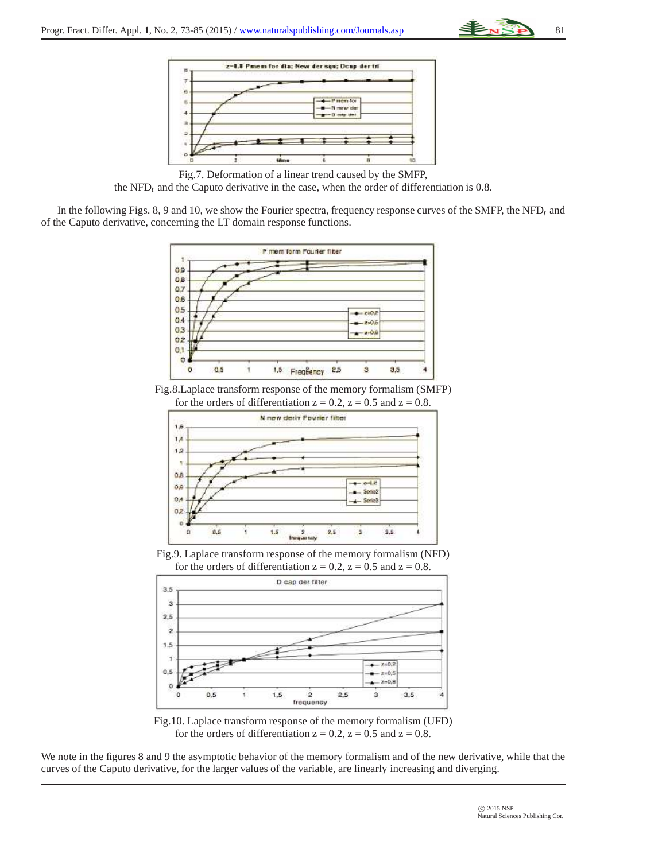



Fig.7. Deformation of a linear trend caused by the SMFP, the  $NFD<sub>t</sub>$  and the Caputo derivative in the case, when the order of differentiation is 0.8.

In the following Figs. 8, 9 and 10, we show the Fourier spectra, frequency response curves of the SMFP, the NFD*<sup>t</sup>* and of the Caputo derivative, concerning the LT domain response functions.



Fig.8.Laplace transform response of the memory formalism (SMFP)



Fig.9. Laplace transform response of the memory formalism (NFD) for the orders of differentiation  $z = 0.2$ ,  $z = 0.5$  and  $z = 0.8$ .



Fig.10. Laplace transform response of the memory formalism (UFD) for the orders of differentiation  $z = 0.2$ ,  $z = 0.5$  and  $z = 0.8$ .

We note in the figures 8 and 9 the asymptotic behavior of the memory formalism and of the new derivative, while that the curves of the Caputo derivative, for the larger values of the variable, are linearly increasing and diverging.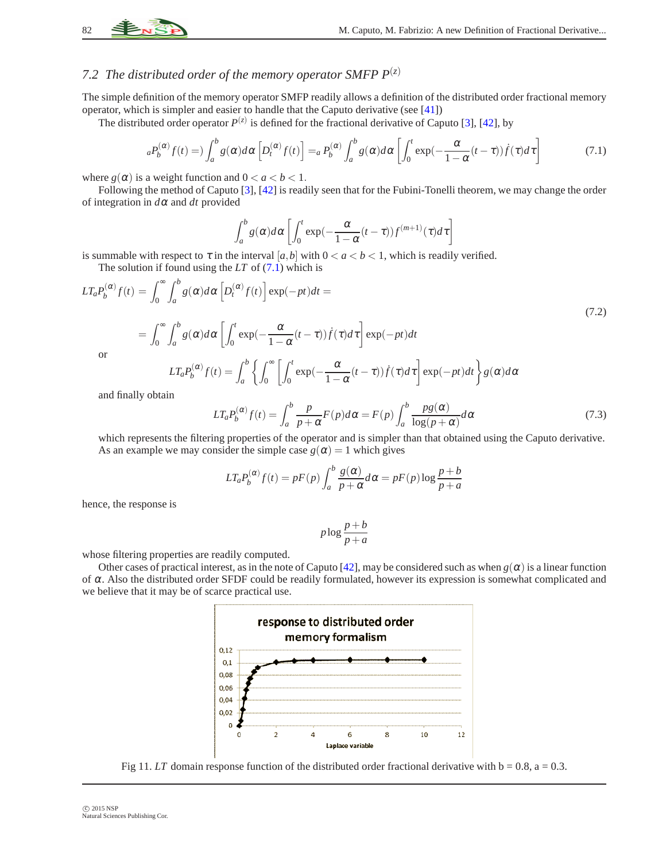# 7.2 The distributed order of the memory operator SMFP  $P^{(z)}$

The simple definition of the memory operator SMFP readily allows a definition of the distributed order fractional memory operator, which is simpler and easier to handle that the Caputo derivative (see [\[41\]](#page-12-17))

The distributed order operator  $P^{(z)}$  is defined for the fractional derivative of Caputo [\[3\]](#page-11-2), [\[42\]](#page-12-18), by

$$
{}_{a}P_{b}^{(\alpha)}f(t) = \int_{a}^{b} g(\alpha)d\alpha \left[ D_{t}^{(\alpha)}f(t) \right] = {}_{a}P_{b}^{(\alpha)}\int_{a}^{b} g(\alpha)d\alpha \left[ \int_{0}^{t} \exp(-\frac{\alpha}{1-\alpha}(t-\tau))\dot{f}(\tau)d\tau \right]
$$
(7.1)

where  $g(\alpha)$  is a weight function and  $0 < a < b < 1$ .

Following the method of Caputo [\[3\]](#page-11-2), [\[42\]](#page-12-18) is readily seen that for the Fubini-Tonelli theorem, we may change the order of integration in *d*<sup>α</sup> and *dt* provided

<span id="page-9-0"></span>
$$
\int_a^b g(\alpha)d\alpha \left[ \int_0^t \exp(-\frac{\alpha}{1-\alpha}(t-\tau))f^{(m+1)}(\tau)d\tau \right]
$$

is summable with respect to  $\tau$  in the interval  $[a, b]$  with  $0 < a < b < 1$ , which is readily verified.

The solution if found using the *LT* of [\(7.1\)](#page-9-0) which is

$$
LT_{a}P_{b}^{(\alpha)}f(t) = \int_{0}^{\infty} \int_{a}^{b} g(\alpha)d\alpha \left[D_{t}^{(\alpha)}f(t)\right] \exp(-pt)dt =
$$
\n
$$
= \int_{0}^{\infty} \int_{a}^{b} g(\alpha)d\alpha \left[\int_{0}^{t} \exp(-\frac{\alpha}{1-\alpha}(t-\tau))\dot{f}(\tau)d\tau\right] \exp(-pt)dt
$$
\nor\n
$$
IT_{b}^{(\alpha)}f(t) = \int_{0}^{b} \int_{0}^{\infty} \left[\int_{0}^{t} \exp(-\frac{\alpha}{1-\alpha}(t-\tau))\dot{f}(\tau)d\tau\right] \exp(-pt)dt
$$
\n(7.2)

$$
LT_a P_b^{(\alpha)} f(t) = \int_a^b \left\{ \int_0^\infty \left[ \int_0^t \exp(-\frac{\alpha}{1-\alpha}(t-\tau)) \dot{f}(\tau) d\tau \right] \exp(-pt) dt \right\} g(\alpha) d\alpha
$$

and finally obtain

$$
LT_a P_b^{(\alpha)} f(t) = \int_a^b \frac{p}{p+\alpha} F(p) d\alpha = F(p) \int_a^b \frac{pg(\alpha)}{\log(p+\alpha)} d\alpha
$$
\n(7.3)

which represents the filtering properties of the operator and is simpler than that obtained using the Caputo derivative. As an example we may consider the simple case  $g(\alpha) = 1$  which gives

$$
LT_a P_b^{(\alpha)} f(t) = pF(p) \int_a^b \frac{g(\alpha)}{p + \alpha} d\alpha = pF(p) \log \frac{p + b}{p + a}
$$

hence, the response is

$$
p \log \frac{p+b}{p+a}
$$

whose filtering properties are readily computed.

Other cases of practical interest, as in the note of Caputo [\[42\]](#page-12-18), may be considered such as when  $g(\alpha)$  is a linear function of <sup>α</sup>. Also the distributed order SFDF could be readily formulated, however its expression is somewhat complicated and we believe that it may be of scarce practical use.



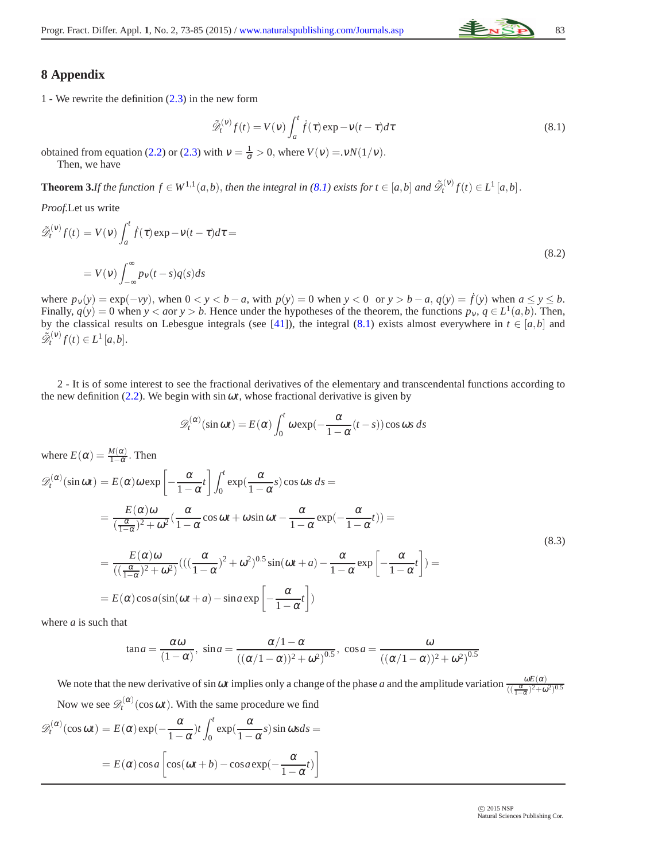

### **8 Appendix**

<span id="page-10-0"></span>1 - We rewrite the definition [\(2.3\)](#page-1-2) in the new form

$$
\tilde{\mathcal{D}}_t^{(v)} f(t) = V(v) \int_a^t \dot{f}(\tau) \exp(-v(t-\tau)) d\tau
$$
\n(8.1)

obtained from equation [\(2.2\)](#page-1-0) or [\(2.3\)](#page-1-2) with  $v = \frac{1}{\sigma} > 0$ , where  $V(v) = vN(1/v)$ . Then, we have

**Theorem 3.**If the function  $f \in W^{1,1}(a,b)$ , then the integral in [\(8.1\)](#page-10-0) exists for  $t \in [a,b]$  and  $\tilde{\mathcal{D}}_t^{(v)} f(t) \in L^1[a,b]$ .

*Proof.*Let us write

$$
\tilde{\mathcal{D}}_t^{(v)} f(t) = V(v) \int_a^t \dot{f}(\tau) \exp(-v(t-\tau)) d\tau =
$$
\n
$$
= V(v) \int_{-\infty}^{\infty} p_v(t-s) q(s) ds
$$
\n(8.2)

where  $p_v(y) = \exp(-vy)$ , when  $0 < y < b - a$ , with  $p(y) = 0$  when  $y < 0$  or  $y > b - a$ ,  $q(y) = f(y)$  when  $a \le y \le b$ . Finally,  $q(y) = 0$  when  $y < a$ or  $y > b$ . Hence under the hypotheses of the theorem, the functions  $p_y, q \in L^1(a, b)$ . Then, by the classical results on Lebesgue integrals (see [\[41\]](#page-12-17)), the integral [\(8.1\)](#page-10-0) exists almost everywhere in  $t \in [a, b]$  and  $\tilde{\mathcal{D}}_t^{(v)} f(t) \in L^1[a, b].$ 

2 - It is of some interest to see the fractional derivatives of the elementary and transcendental functions according to the new definition  $(2.2)$ . We begin with sin  $\omega t$ , whose fractional derivative is given by

$$
\mathscr{D}_t^{(\alpha)}(\sin \omega t) = E(\alpha) \int_0^t \omega \exp(-\frac{\alpha}{1-\alpha}(t-s)) \cos \omega s \, ds
$$

where  $E(\alpha) = \frac{M(\alpha)}{1-\alpha}$ . Then  $\mathscr{D}_t^{(\alpha)}(\sin \omega t) = E(\alpha) \omega \exp \left[-\frac{\alpha}{1-\alpha}\right]$  $\left[\frac{\alpha}{1-\alpha}t\right]$  $\int_0^t$  $\int_0^t \exp(\frac{\alpha}{1-\alpha})$  $\frac{\alpha}{1-\alpha}$ s)cos ωs ds =  $=\frac{E(\alpha)\omega}{(2\pi)^2}$  $rac{E(\alpha)\omega}{(\frac{\alpha}{1-\alpha})^2+\omega^2}(\frac{\alpha}{1-\alpha})$  $\frac{\alpha}{1-\alpha}\cos\omega t + \omega\sin\omega t - \frac{\alpha}{1-\alpha}$  $\frac{\alpha}{1-\alpha}$ exp( $-\frac{\alpha}{1-\alpha}$  $\frac{\alpha}{1-\alpha}t)$ ) = (8.3)  $=\frac{E(\alpha)\omega}{(1-\alpha)^2}$  $\frac{E(\alpha)\omega}{((\frac{\alpha}{1-\alpha})^2+\omega^2)}((\frac{\alpha}{1-\alpha})$  $\frac{\alpha}{1-\alpha}$ <sup>2</sup> +  $\omega$ <sup>2</sup>)<sup>0.5</sup> sin( $\omega$ *t* + *a*) -  $\frac{\alpha}{1-\alpha}$  $1-\alpha$  $\exp\left[-\frac{\alpha}{1-\alpha}\right]$  $\left[\frac{\alpha}{1-\alpha}t\right]$ ) =  $= E(\alpha) \cos a (\sin(\omega t + a) - \sin a \exp \left[-\frac{\alpha}{1-\alpha}\right]$  $\left[\frac{\alpha}{1-\alpha}t\right]$ 

where *a* is such that

$$
\tan a = \frac{\alpha \omega}{(1-\alpha)}, \quad \sin a = \frac{\alpha/1 - \alpha}{((\alpha/1 - \alpha))^2 + \omega^2)^{0.5}}, \quad \cos a = \frac{\omega}{((\alpha/1 - \alpha))^2 + \omega^2)^{0.5}}
$$

We note that the new derivative of sin  $\omega t$  implies only a change of the phase *a* and the amplitude variation  $\frac{\omega E(\alpha)}{((\frac{\alpha}{1-\alpha})^2+\omega^2)^{0.5}}$ Now we see  $\mathscr{D}_t^{(\alpha)}(\cos \omega t)$ . With the same procedure we find

$$
\mathcal{D}_t^{(\alpha)}(\cos \omega t) = E(\alpha) \exp(-\frac{\alpha}{1-\alpha})t \int_0^t \exp(\frac{\alpha}{1-\alpha}s) \sin \omega s ds =
$$

$$
= E(\alpha) \cos a \left[ \cos(\omega t + b) - \cos a \exp(-\frac{\alpha}{1-\alpha}t) \right]
$$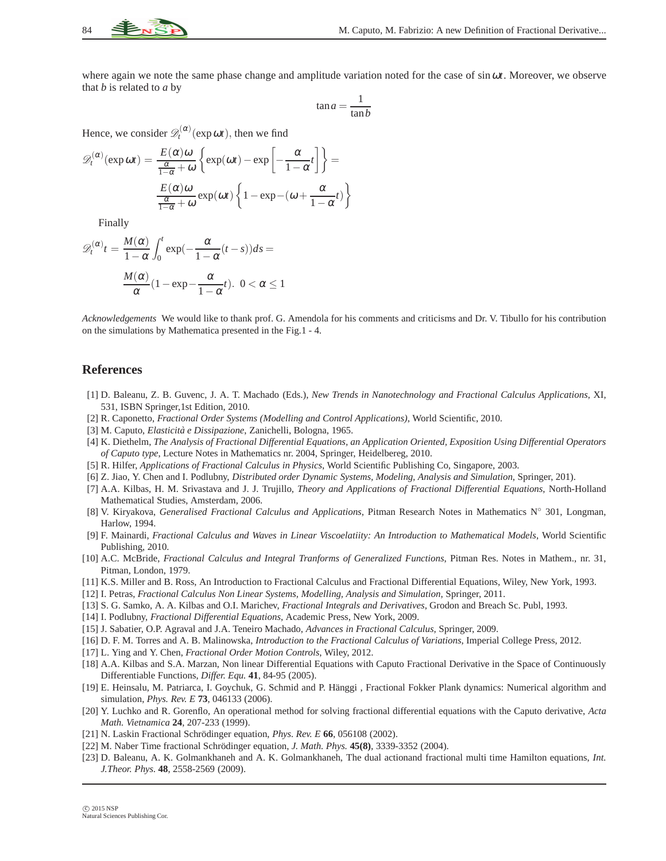where again we note the same phase change and amplitude variation noted for the case of sinω*t*. Moreover, we observe that *b* is related to *a* by

$$
\tan a = \frac{1}{\tan b}
$$

Hence, we consider  $\mathscr{D}_t^{(\alpha)}(\exp \omega t)$ , then we find

$$
\mathcal{D}_{t}^{(\alpha)}(\exp \omega t) = \frac{E(\alpha)\omega}{\frac{\alpha}{1-\alpha}+\omega} \left\{ \exp(\omega t) - \exp\left[-\frac{\alpha}{1-\alpha}t\right] \right\} = \frac{E(\alpha)\omega}{\frac{\alpha}{1-\alpha}+\omega} \exp(\omega t) \left\{ 1 - \exp\left(-\omega + \frac{\alpha}{1-\alpha}t\right) \right\}
$$

Finally

$$
\mathcal{D}_{t}^{(\alpha)}t = \frac{M(\alpha)}{1-\alpha} \int_{0}^{t} \exp(-\frac{\alpha}{1-\alpha}(t-s))ds = \frac{M(\alpha)}{\alpha} (1 - \exp(-\frac{\alpha}{1-\alpha}t). \quad 0 < \alpha \le 1
$$

*Acknowledgements* We would like to thank prof. G. Amendola for his comments and criticisms and Dr. V. Tibullo for his contribution on the simulations by Mathematica presented in the Fig.1 - 4.

#### <span id="page-11-0"></span>**References**

- [1] D. Baleanu, Z. B. Guvenc, J. A. T. Machado (Eds.), *New Trends in Nanotechnology and Fractional Calculus Applications*, XI, 531, ISBN Springer,1st Edition, 2010.
- <span id="page-11-2"></span><span id="page-11-1"></span>[2] R. Caponetto, *Fractional Order Systems (Modelling and Control Applications)*, World Scientific, 2010.
- <span id="page-11-3"></span>[3] M. Caputo, *Elasticit`a e Dissipazione*, Zanichelli, Bologna, 1965.
- [4] K. Diethelm, *The Analysis of Fractional Differential Equations, an Application Oriented, Exposition Using Differential Operators of Caputo type*, Lecture Notes in Mathematics nr. 2004, Springer, Heidelbereg, 2010.
- <span id="page-11-5"></span><span id="page-11-4"></span>[5] R. Hilfer, *Applications of Fractional Calculus in Physics*, World Scientific Publishing Co, Singapore, 2003.
- <span id="page-11-6"></span>[6] Z. Jiao, Y. Chen and I. Podlubny, *Distributed order Dynamic Systems, Modeling, Analysis and Simulation*, Springer, 201).
- [7] A.A. Kilbas, H. M. Srivastava and J. J. Trujillo, *Theory and Applications of Fractional Differential Equations*, North-Holland Mathematical Studies, Amsterdam, 2006.
- <span id="page-11-7"></span>[8] V. Kiryakova, *Generalised Fractional Calculus and Applications*, Pitman Research Notes in Mathematics N◦ 301, Longman, Harlow, 1994.
- <span id="page-11-8"></span>[9] F. Mainardi, *Fractional Calculus and Waves in Linear Viscoelatiity: An Introduction to Mathematical Models*, World Scientific Publishing, 2010.
- <span id="page-11-9"></span>[10] A.C. McBride, *Fractional Calculus and Integral Tranforms of Generalized Functions*, Pitman Res. Notes in Mathem., nr. 31, Pitman, London, 1979.
- <span id="page-11-11"></span><span id="page-11-10"></span>[11] K.S. Miller and B. Ross, An Introduction to Fractional Calculus and Fractional Differential Equations, Wiley, New York, 1993.
- <span id="page-11-12"></span>[12] I. Petras, *Fractional Calculus Non Linear Systems, Modelling, Analysis and Simulation*, Springer, 2011.
- <span id="page-11-13"></span>[13] S. G. Samko, A. A. Kilbas and O.I. Marichev, *Fractional Integrals and Derivatives*, Grodon and Breach Sc. Publ, 1993.
- <span id="page-11-14"></span>[14] I. Podlubny, *Fractional Differential Equations*, Academic Press, New York, 2009.
- <span id="page-11-15"></span>[15] J. Sabatier, O.P. Agraval and J.A. Teneiro Machado, *Advances in Fractional Calculus*, Springer, 2009.
- <span id="page-11-16"></span>[16] D. F. M. Torres and A. B. Malinowska, *Introduction to the Fractional Calculus of Variations*, Imperial College Press, 2012.
- <span id="page-11-17"></span>[17] L. Ying and Y. Chen, *Fractional Order Motion Controls*, Wiley, 2012.
- [18] A.A. Kilbas and S.A. Marzan, Non linear Differential Equations with Caputo Fractional Derivative in the Space of Continuously Differentiable Functions, *Differ. Equ.* **41**, 84-95 (2005).
- <span id="page-11-18"></span>[19] E. Heinsalu, M. Patriarca, I. Goychuk, G. Schmid and P. Hänggi, Fractional Fokker Plank dynamics: Numerical algorithm and simulation, *Phys. Rev. E* **73**, 046133 (2006).
- <span id="page-11-19"></span>[20] Y. Luchko and R. Gorenflo, An operational method for solving fractional differential equations with the Caputo derivative, *Acta Math. Vietnamica* **24**, 207-233 (1999).
- <span id="page-11-21"></span><span id="page-11-20"></span>[21] N. Laskin Fractional Schrödinger equation, *Phys. Rev. E* **66**, 056108 (2002).
- <span id="page-11-22"></span>[22] M. Naber Time fractional Schrödinger equation, *J. Math. Phys.* **45(8)**, 3339-3352 (2004).
- [23] D. Baleanu, A. K. Golmankhaneh and A. K. Golmankhaneh, The dual actionand fractional multi time Hamilton equations, *Int. J.Theor. Phys.* **48**, 2558-2569 (2009).